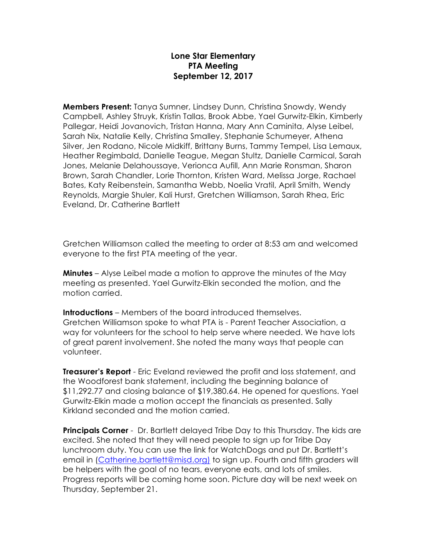## **Lone Star Elementary PTA Meeting September 12, 2017**

**Members Present:** Tanya Sumner, Lindsey Dunn, Christina Snowdy, Wendy Campbell, Ashley Struyk, Kristin Tallas, Brook Abbe, Yael Gurwitz-Elkin, Kimberly Pallegar, Heidi Jovanovich, Tristan Hanna, Mary Ann Caminita, Alyse Leibel, Sarah Nix, Natalie Kelly, Christina Smalley, Stephanie Schumeyer, Athena Silver, Jen Rodano, Nicole Midkiff, Brittany Burns, Tammy Tempel, Lisa Lemaux, Heather Regimbald, Danielle Teague, Megan Stultz, Danielle Carmical, Sarah Jones, Melanie Delahoussaye, Verionca Aufill, Ann Marie Ronsman, Sharon Brown, Sarah Chandler, Lorie Thornton, Kristen Ward, Melissa Jorge, Rachael Bates, Katy Reibenstein, Samantha Webb, Noelia Vratil, April Smith, Wendy Reynolds, Margie Shuler, Kali Hurst, Gretchen Williamson, Sarah Rhea, Eric Eveland, Dr. Catherine Bartlett

Gretchen Williamson called the meeting to order at 8:53 am and welcomed everyone to the first PTA meeting of the year.

**Minutes** – Alyse Leibel made a motion to approve the minutes of the May meeting as presented. Yael Gurwitz-Elkin seconded the motion, and the motion carried.

**Introductions** – Members of the board introduced themselves. Gretchen Williamson spoke to what PTA is - Parent Teacher Association, a way for volunteers for the school to help serve where needed. We have lots of great parent involvement. She noted the many ways that people can volunteer.

**Treasurer's Report** - Eric Eveland reviewed the profit and loss statement, and the Woodforest bank statement, including the beginning balance of \$11,292.77 and closing balance of \$19,380.64. He opened for questions. Yael Gurwitz-Elkin made a motion accept the financials as presented. Sally Kirkland seconded and the motion carried.

**Principals Corner** - Dr. Bartlett delayed Tribe Day to this Thursday. The kids are excited. She noted that they will need people to sign up for Tribe Day lunchroom duty. You can use the link for WatchDogs and put Dr. Bartlett's email in (Catherine.bartlett@misd.org) to sign up. Fourth and fifth graders will be helpers with the goal of no tears, everyone eats, and lots of smiles. Progress reports will be coming home soon. Picture day will be next week on Thursday, September 21.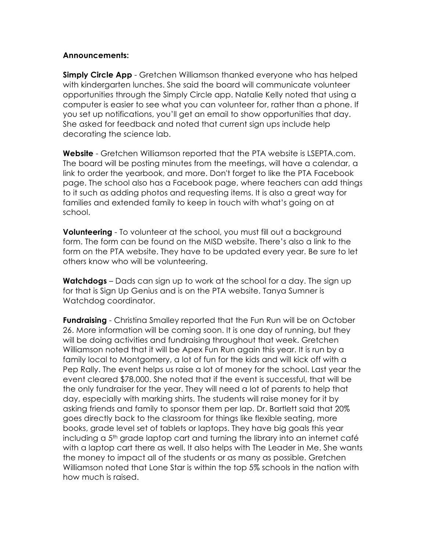## **Announcements:**

**Simply Circle App** - Gretchen Williamson thanked everyone who has helped with kindergarten lunches. She said the board will communicate volunteer opportunities through the Simply Circle app. Natalie Kelly noted that using a computer is easier to see what you can volunteer for, rather than a phone. If you set up notifications, you'll get an email to show opportunities that day. She asked for feedback and noted that current sign ups include help decorating the science lab.

**Website** - Gretchen Williamson reported that the PTA website is LSEPTA.com. The board will be posting minutes from the meetings, will have a calendar, a link to order the yearbook, and more. Don't forget to like the PTA Facebook page. The school also has a Facebook page, where teachers can add things to it such as adding photos and requesting items. It is also a great way for families and extended family to keep in touch with what's going on at school.

**Volunteering** - To volunteer at the school, you must fill out a background form. The form can be found on the MISD website. There's also a link to the form on the PTA website. They have to be updated every year. Be sure to let others know who will be volunteering.

**Watchdogs** – Dads can sign up to work at the school for a day. The sign up for that is Sign Up Genius and is on the PTA website. Tanya Sumner is Watchdog coordinator.

**Fundraising** - Christina Smalley reported that the Fun Run will be on October 26. More information will be coming soon. It is one day of running, but they will be doing activities and fundraising throughout that week. Gretchen Williamson noted that it will be Apex Fun Run again this year. It is run by a family local to Montgomery, a lot of fun for the kids and will kick off with a Pep Rally. The event helps us raise a lot of money for the school. Last year the event cleared \$78,000. She noted that if the event is successful, that will be the only fundraiser for the year. They will need a lot of parents to help that day, especially with marking shirts. The students will raise money for it by asking friends and family to sponsor them per lap. Dr. Bartlett said that 20% goes directly back to the classroom for things like flexible seating, more books, grade level set of tablets or laptops. They have big goals this year including a 5<sup>th</sup> grade laptop cart and turning the library into an internet café with a laptop cart there as well. It also helps with The Leader in Me. She wants the money to impact all of the students or as many as possible. Gretchen Williamson noted that Lone Star is within the top 5% schools in the nation with how much is raised.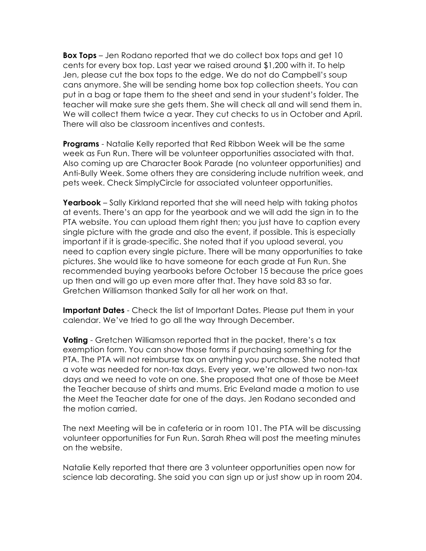**Box Tops** – Jen Rodano reported that we do collect box tops and get 10 cents for every box top. Last year we raised around \$1,200 with it. To help Jen, please cut the box tops to the edge. We do not do Campbell's soup cans anymore. She will be sending home box top collection sheets. You can put in a bag or tape them to the sheet and send in your student's folder. The teacher will make sure she gets them. She will check all and will send them in. We will collect them twice a year. They cut checks to us in October and April. There will also be classroom incentives and contests.

**Programs** - Natalie Kelly reported that Red Ribbon Week will be the same week as Fun Run. There will be volunteer opportunities associated with that. Also coming up are Character Book Parade (no volunteer opportunities) and Anti-Bully Week. Some others they are considering include nutrition week, and pets week. Check SimplyCircle for associated volunteer opportunities.

**Yearbook** – Sally Kirkland reported that she will need help with taking photos at events. There's an app for the yearbook and we will add the sign in to the PTA website. You can upload them right then; you just have to caption every single picture with the grade and also the event, if possible. This is especially important if it is grade-specific. She noted that if you upload several, you need to caption every single picture. There will be many opportunities to take pictures. She would like to have someone for each grade at Fun Run. She recommended buying yearbooks before October 15 because the price goes up then and will go up even more after that. They have sold 83 so far. Gretchen Williamson thanked Sally for all her work on that.

**Important Dates** - Check the list of Important Dates. Please put them in your calendar. We've tried to go all the way through December.

**Voting** - Gretchen Williamson reported that in the packet, there's a tax exemption form. You can show those forms if purchasing something for the PTA. The PTA will not reimburse tax on anything you purchase. She noted that a vote was needed for non-tax days. Every year, we're allowed two non-tax days and we need to vote on one. She proposed that one of those be Meet the Teacher because of shirts and mums. Eric Eveland made a motion to use the Meet the Teacher date for one of the days. Jen Rodano seconded and the motion carried.

The next Meeting will be in cafeteria or in room 101. The PTA will be discussing volunteer opportunities for Fun Run. Sarah Rhea will post the meeting minutes on the website.

Natalie Kelly reported that there are 3 volunteer opportunities open now for science lab decorating. She said you can sign up or just show up in room 204.